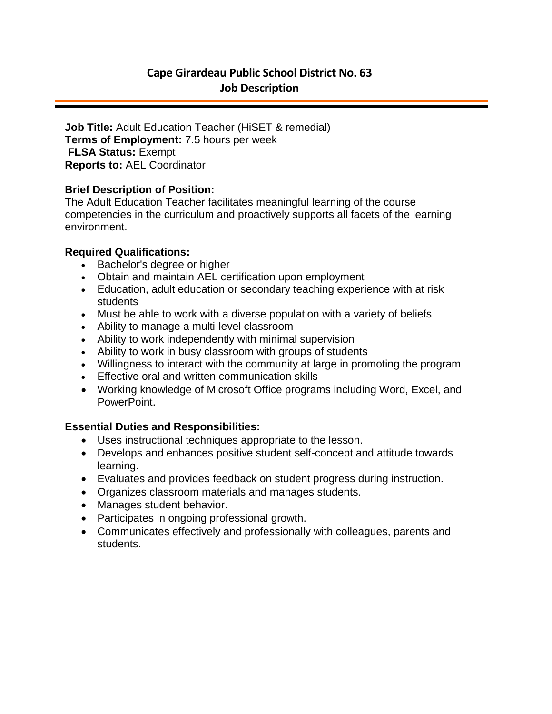# **Cape Girardeau Public School District No. 63 Job Description**

**Job Title:** Adult Education Teacher (HiSET & remedial) **Terms of Employment:** 7.5 hours per week **FLSA Status:** Exempt **Reports to:** AEL Coordinator

## **Brief Description of Position:**

The Adult Education Teacher facilitates meaningful learning of the course competencies in the curriculum and proactively supports all facets of the learning environment.

## **Required Qualifications:**

- Bachelor's degree or higher
- Obtain and maintain AEL certification upon employment
- Education, adult education or secondary teaching experience with at risk students
- Must be able to work with a diverse population with a variety of beliefs
- Ability to manage a multi-level classroom
- Ability to work independently with minimal supervision
- Ability to work in busy classroom with groups of students
- Willingness to interact with the community at large in promoting the program
- Effective oral and written communication skills
- Working knowledge of Microsoft Office programs including Word, Excel, and PowerPoint.

## **Essential Duties and Responsibilities:**

- Uses instructional techniques appropriate to the lesson.
- Develops and enhances positive student self-concept and attitude towards learning.
- Evaluates and provides feedback on student progress during instruction.
- Organizes classroom materials and manages students.
- Manages student behavior.
- Participates in ongoing professional growth.
- Communicates effectively and professionally with colleagues, parents and students.